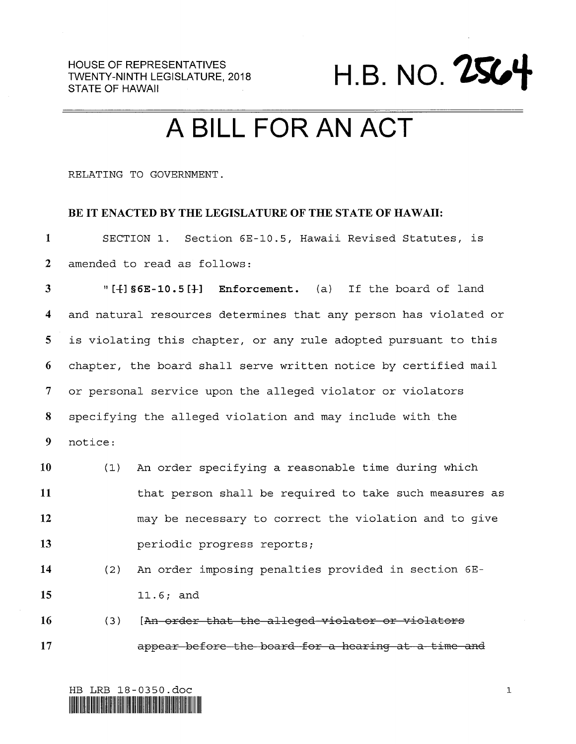HOUSE OF REPRESENTATIVES<br>TWENTY-NINTH LEGISLATURE, 2018 H.B. NO. 2564

### A BILL FOR AN ACT

RELATING TO GOVERNMENT.

### BE IT ENACTED BY THE LEGISLATURE OF THE STATE OF HAWAII:

 SECTION 1. Section GE-l0.5, Hawaii Revised Statutes, is amended to read as follows:

 "[ $-1$ ]  $56E-10.5$ [ $+$ ] Enforcement. (a) If the board of land and natural resources determines that any person has violated or is violating this chapter, or any rule adopted pursuant to this chapter, the board shall serve written notice by certified mail or personal service upon the alleged violator or violators specifying the alleged violation and may include with the notice:

 (1) An order specifying a reasonable time during which that person shall be required to take such measures as may be necessary to correct the violation and to give periodic progress reports;

 (2) An order imposing penalties provided in section 6E-11.6; and

16 (3) [An order that the alleged violator or violators **appear** before the board for a hearing at a time and



 $\mathbf{1}$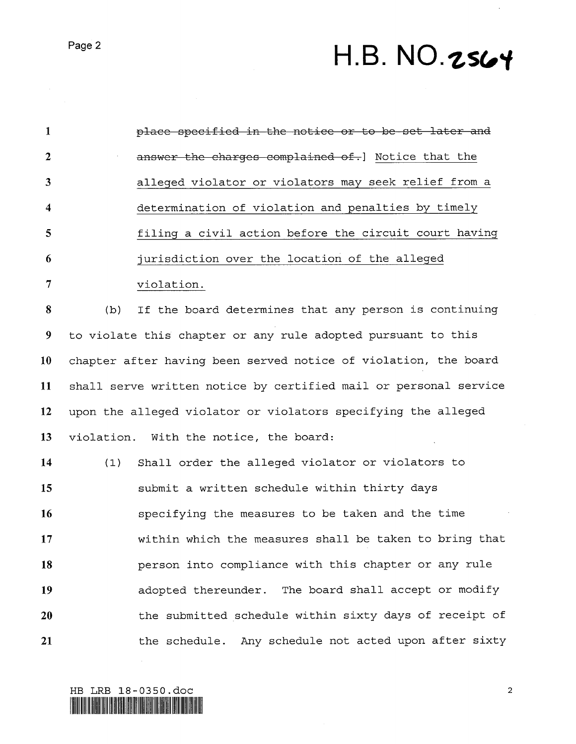### Page 2  $H.B. NO. 2564$

| $\mathbf{1}$     |     | place specified in the notice or to be set later and             |
|------------------|-----|------------------------------------------------------------------|
| $\boldsymbol{2}$ |     | answer the charges complained of.] Notice that the               |
| 3                |     | alleged violator or violators may seek relief from a             |
| 4                |     | determination of violation and penalties by timely               |
| 5                |     | filing a civil action before the circuit court having            |
| 6                |     | jurisdiction over the location of the alleged                    |
| $\overline{7}$   |     | violation.                                                       |
| 8                | (b) | If the board determines that any person is continuing            |
| 9                |     | to violate this chapter or any rule adopted pursuant to this     |
| 10               |     | chapter after having been served notice of violation, the board  |
| 11               |     | shall serve written notice by certified mail or personal service |
| 12               |     | upon the alleged violator or violators specifying the alleged    |
| 13               |     | violation. With the notice, the board:                           |
| 14               | (1) | Shall order the alleged violator or violators to                 |
| 15               |     | submit a written schedule within thirty days                     |
| 16               |     | specifying the measures to be taken and the time                 |
| 17               |     | within which the measures shall be taken to bring that           |
| 18               |     | person into compliance with this chapter or any rule             |
| 19               |     | adopted thereunder. The board shall accept or modify             |
| <b>20</b>        |     | the submitted schedule within sixty days of receipt of           |
| 21               |     | the schedule. Any schedule not acted upon after sixty            |

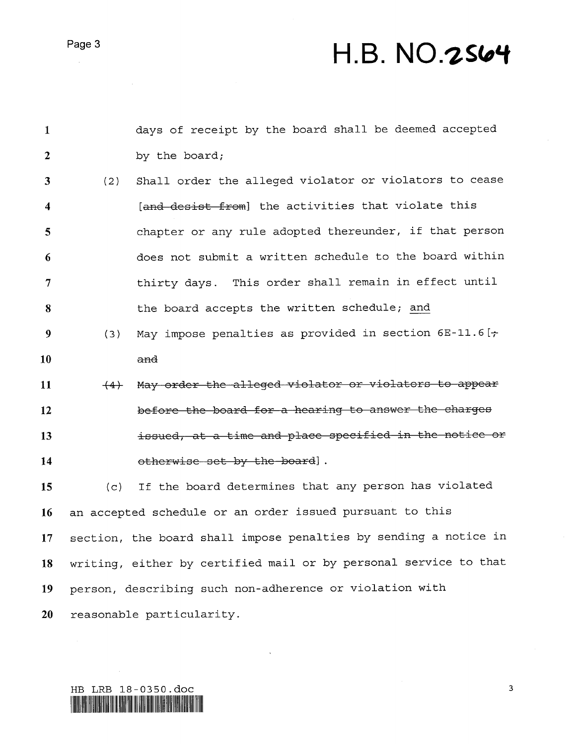### $H.B. NO. 2S64$

1 2 3 4 5 6 7 8 9 10 11 12 13 14 15 16 17 18 19 20 days of receipt by the board shall be deemed accepted by the board; (2) Shall order the alleged violator or violators to cease [and desist from] the activities that violate this chapter or any rule adopted thereunder, if that person does not submit <sup>a</sup> written schedule to the board within thirty days. This order shall remain in effect until the board accepts the written schedule; and (3) May impose penalties as provided in section  $6E-11.6$   $\rightarrow$ an4 -(-4-)- May order the alleged violator or violators to appear before the board for <sup>a</sup> hearing to answer the charges issued, at <sup>a</sup> time and place specified in the notice or otherwise set by the board]. (c) If the board determines that any person has violated an accepted schedule or an order issued pursuant to this section, the board shall impose penalties by sending <sup>a</sup> notice in writing, either by certified mail or by personal service to that person, describing such non-adherence or violation with reasonable particularity.



3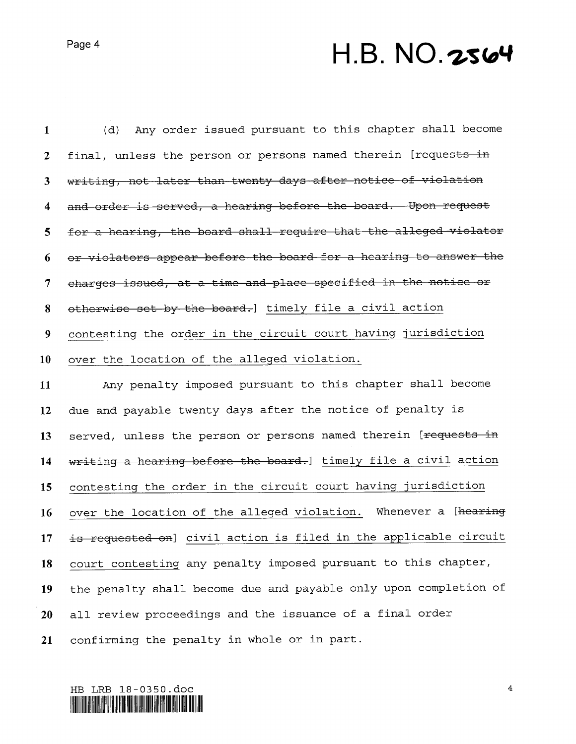### $P\text{age 4} \rightarrow \text{H.B. NO.}$ 2564

 (d) Any order issued pursuant to this chapter shall become 2 final, unless the person or persons named therein [requests in writing, not later than twenty dayo after notice of violation 4 and order is served, a hearing before the board. Upon request for <sup>a</sup> hearing, the board ohall require that the alleged violator or violatoro appear before the board for <sup>a</sup> hearing to anower the chargec iooued, at <sup>a</sup> time and place apecified in the notice or 8 otherwise set by the board.] timely file a civil action contesting the order in the circuit court having jurisdiction over the location of the alleged violation. Any penalty imposed pursuant to this chapter shall become due and payable twenty days after the notice of penalty is 13 served, unless the person or persons named therein [requests in 14 writing a hearing before the board.] timely file a civil action contesting the order in the circuit court having jurisdiction 16 over the location of the alleged violation. Whenever a [hearing 17 is requested on] civil action is filed in the applicable circuit court contesting any penalty imposed pursuant to this chapter, the penalty shall become due and payable only upon completion of all review proceedings and the issuance of <sup>a</sup> final order confirming the penalty in whole or in part.

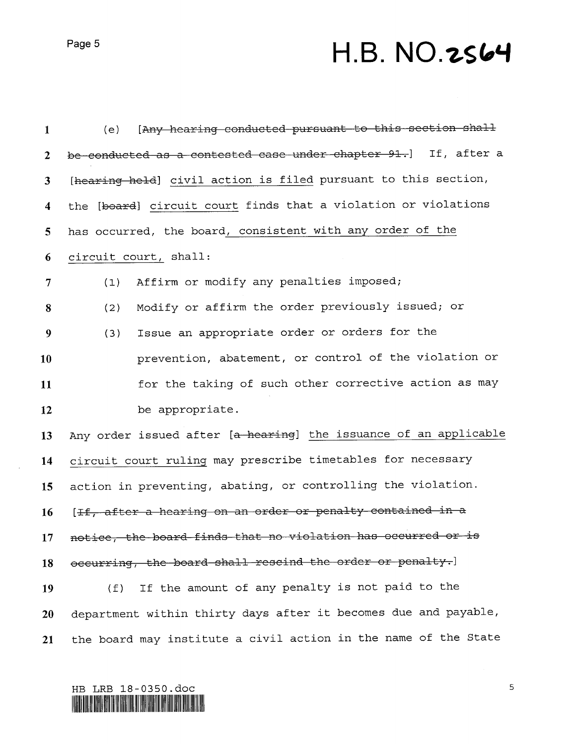### Page 5 H.B. NO. 2564

| $\mathbf{1}$            | [Any hearing conducted pursuant to this section shall<br>(e)     |
|-------------------------|------------------------------------------------------------------|
| $\mathbf{2}$            | be conducted as a contested case under chapter 91.] If, after a  |
| 3                       | [hearing held] civil action is filed pursuant to this section,   |
| $\overline{\mathbf{4}}$ | the [board] circuit court finds that a violation or violations   |
| 5                       | has occurred, the board, consistent with any order of the        |
| 6                       | circuit court, shall:                                            |
| 7                       | Affirm or modify any penalties imposed;<br>(1)                   |
| 8                       | Modify or affirm the order previously issued; or<br>(2)          |
| 9                       | Issue an appropriate order or orders for the<br>(3)              |
| 10                      | prevention, abatement, or control of the violation or            |
| 11                      | for the taking of such other corrective action as may            |
| 12                      | be appropriate.                                                  |
| 13                      | Any order issued after [a hearing] the issuance of an applicable |
| 14                      | circuit court ruling may prescribe timetables for necessary      |
| 15                      | action in preventing, abating, or controlling the violation.     |
| 16                      | [If, after a hearing on an order or penalty contained in a       |
| 17                      | notice, the board finds that no violation has occurred or is     |
| 18                      | occurring, the board shall rescind the order or penalty.]        |
| 19                      | If the amount of any penalty is not paid to the<br>(f)           |
| <b>20</b>               | department within thirty days after it becomes due and payable,  |
| 21                      | the board may institute a civil action in the name of the State  |

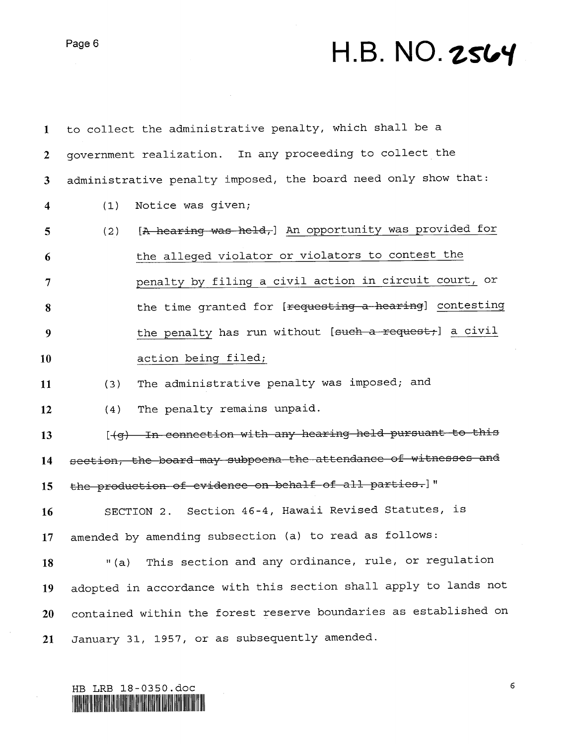to collect the administrative penalty, which shall be <sup>a</sup> government realization. In any proceeding to collect the administrative penalty imposed, the board need only show that: (1) Notice was given; 5 (2) [A hearing was held,] An opportunity was provided for the alleged violator or violators to contest the penalty by filing <sup>a</sup> civil action in circuit court, or 8 the time granted for [requesting a hearing] contesting 9 the penalty has run without [such a request+] a civil action being filed; (3) The administrative penalty was imposed; and (4) The penalty remains unpaid. 13 Eig) In connection with any hearing held pursuant to this 14 section, the board may subpoena the attendance of witnesses and the production of evidence on behalf of all parties.]" SECTION 2. Section 46-4, Hawaii Revised Statutes, is amended by amending subsection (a) to read as follows:  $(18 - 18)$  This section and any ordinance, rule, or regulation adopted in accordance with this section shall apply to lands not 20 contained within the forest reserve boundaries as established on January 31, 1957, or as subsequently amended.

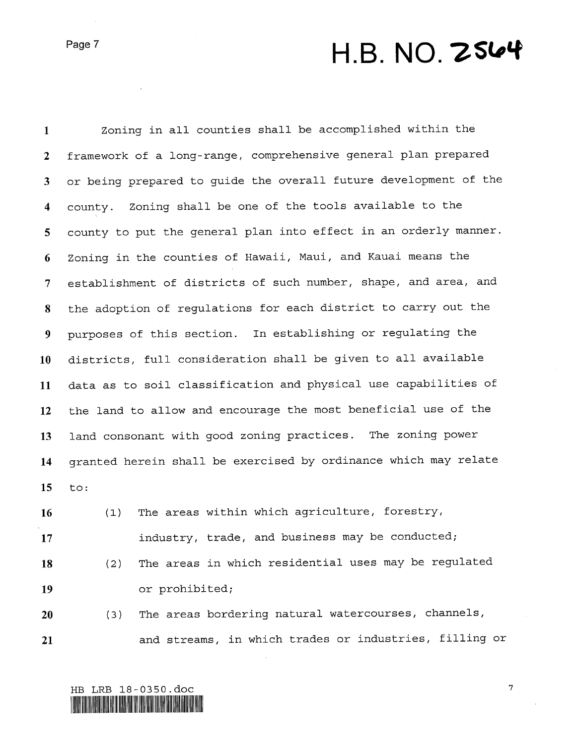### Page 7 H.B. NO. 2564

 Zoning in all counties shall be accomplished within the framework of a long-range, comprehensive general plan prepared or being prepared to guide the overall future development of the county. Zoning shall be one of the tools available to the county to put the general plan into effect in an orderly manner. zoning in the counties of Hawaii, Maui, and Kauai means the establishment of districts of such number, shape, and area, and the adoption of regulations for each district to carry out the purposes of this section. In establishing or regulating the districts, full consideration shall be given to all available data as to soil classification and physical use capabilities of the land to allow and encourage the most beneficial use of the land consonant with good zoning practices. The zoning power granted herein shall be exercised by ordinance which may relate to: (1) The areas within which agriculture, forestry, **industry, trade, and business may be conducted;** 

 (2) The areas in which residential uses may be regulated or prohibited;

 (3) The areas bordering natural watercourses, channels, and streams, in which trades or industries, filling or

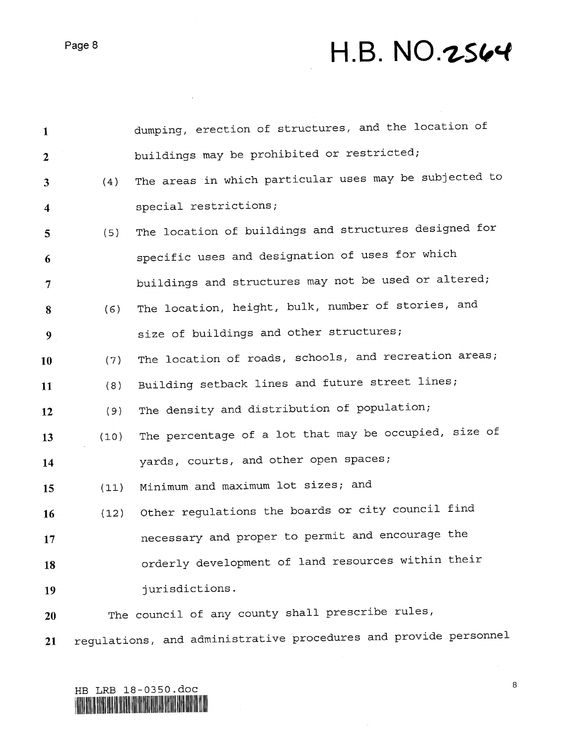Page 8  $H.B. NO. 2564$ 

| $\mathbf{1}$   |      | dumping, erection of structures, and the location of             |
|----------------|------|------------------------------------------------------------------|
| $\mathbf{2}$   |      | buildings may be prohibited or restricted;                       |
| 3              | (4)  | The areas in which particular uses may be subjected to           |
| 4              |      | special restrictions;                                            |
| 5              | (5)  | The location of buildings and structures designed for            |
| 6              |      | specific uses and designation of uses for which                  |
| $\overline{7}$ |      | buildings and structures may not be used or altered;             |
| 8              | (6)  | The location, height, bulk, number of stories, and               |
| 9              |      | size of buildings and other structures;                          |
| 10             | (7)  | The location of roads, schools, and recreation areas;            |
| 11             | (8)  | Building setback lines and future street lines;                  |
| 12             | (9)  | The density and distribution of population;                      |
| 13             | (10) | The percentage of a lot that may be occupied, size of            |
| 14             |      | yards, courts, and other open spaces;                            |
| 15             | (11) | Minimum and maximum lot sizes; and                               |
| <b>16</b>      | (12) | Other regulations the boards or city council find                |
| 17             |      | necessary and proper to permit and encourage the                 |
| 18             |      | orderly development of land resources within their               |
| 19             |      | jurisdictions.                                                   |
| 20             |      | The council of any county shall prescribe rules,                 |
| 21             |      | regulations, and administrative procedures and provide personnel |
|                |      |                                                                  |



 $\sim$   $\sim$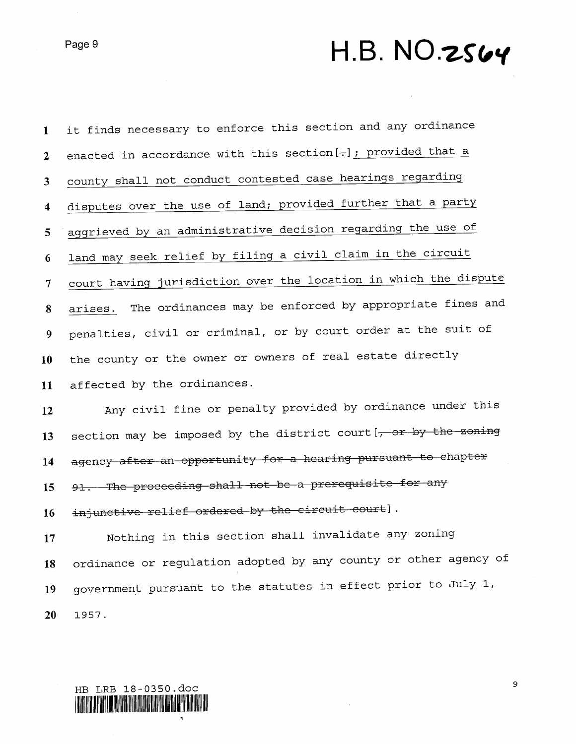Page 9  $H.B. NO. 2564$ 

<sup>1</sup> it finds necessary to enforce this section and any ordinance 2 enacted in accordance with this section [-]; provided that a <sup>3</sup> county shall not conduct contested case hearings regarding 4 disputes over the use of land; provided further that a party <sup>5</sup> aggrieved by an administrative decision regarding the use of <sup>6</sup> land may seek relief by filing <sup>a</sup> civil claim in the circuit <sup>7</sup> court having jurisdiction over the location in which the dispute 8 arises. The ordinances may be enforced by appropriate fines and <sup>9</sup> penalties, civil or criminal, or by court order at the suit of <sup>10</sup> the county or the owner or owners of real estate directly <sup>11</sup> affected by the ordinances. <sup>12</sup> Any civil fine or penalty provided by ordinance under this 13 section may be imposed by the district court [<del>, or by the zoning</del> 14 ageney after an opportunity for a hearing pursuant to chapter 15 91. The proceeding shall not be a prerequisite for any 16 injunctive relief ordered by the circuit court]. <sup>17</sup> Nothing in this section shall invalidate any zoning <sup>18</sup> ordinance or regulation adopted by any county or other agency of <sup>19</sup> government pursuant to the statutes in effect prior to July 1, 20 1957. Nothing in this<br>Drainance or regulat<br>Hovernment pursuant<br>1957.<br>He LRB 18-0350.doc

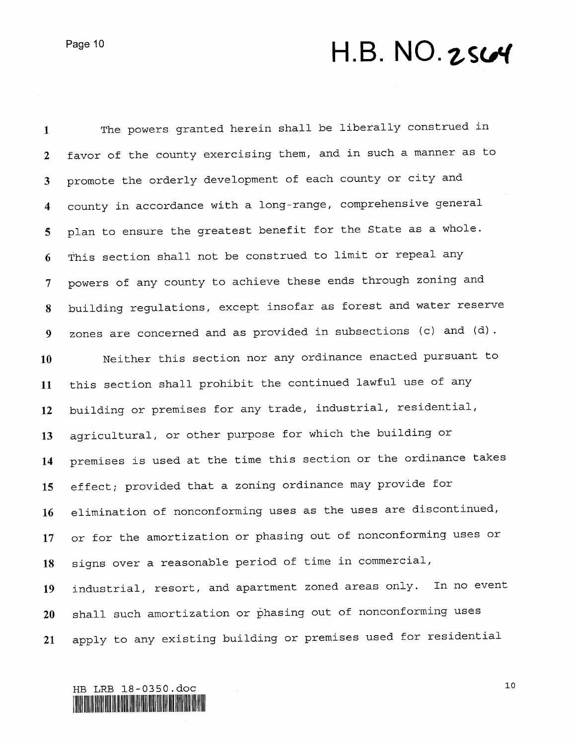### $H.B. NO. zs$

 The powers granted herein shall be liberally construed in favor of the county exercising them, and in such <sup>a</sup> manner as to promote the orderly development of each county or city and county in accordance with <sup>a</sup> long-range, comprehensive general plan to ensure the greatest benefit for the State as <sup>a</sup> whole. This section shall not be construed to limit or repeal any powers of any county to achieve these ends through zoning and building regulations, except insofar as forest and water reserve 9 zones are concerned and as provided in subsections (c) and  $(d)$ . Neither this section nor any ordinance enacted pursuant to this section shall prohibit the continued lawful use of any building or premises for any trade, industrial, residential, agricultural, or other purpose for which the building or premises is used at the time this section or the ordinance takes effect; provided that <sup>a</sup> zoning ordinance may provide for elimination of nonconforming uses as the uses are discontinued, or for the amortization or phasing out of nonconforming uses or signs over <sup>a</sup> reasonable period of time in commercial, industrial, resort, and apartment zoned areas only. In no event shall such amortization or phasing out of nonconforming uses apply to any existing building or premises used for residential

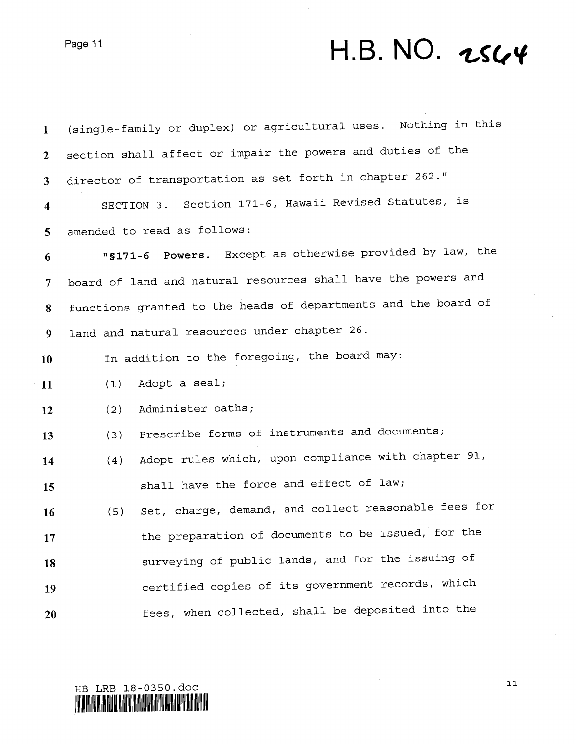# Page 11 H.B. NO. 2544

 (single-family or duplex) or agricultural uses. Nothing in this section shall affect or impair the powers and duties of the director of transportation as set forth in chapter 262." SECTION 3. Section 171-6, Hawaii Revised Statutes, is amended to read as follows: 6 "S171-6 Powers. Except as otherwise provided by law, the board of land and natural resources shall have the powers and functions granted to the heads of departments and the board of land and natural resources under chapter 26. In addition to the foregoing, the board may: (1) Adopt a seal; (2) Administer oaths; (3) prescribe forms of instruments and documents; (4) Adopt rules which, upon compliance with chapter 91, shall have the force and effect of law; (5) Set, charge, demand, and collect reasonable fees for the preparation of documents to be issued, for the surveying of public lands, and for the issuing of certified copies of its government records, which fees, when collected, shall be deposited into the

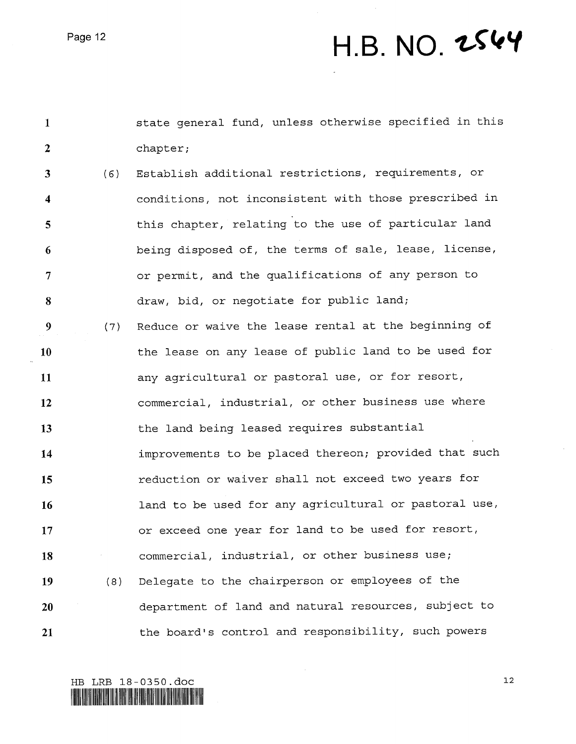### $H.B. NO. 2544$

 state general fund, unless otherwise specified in this 2 chapter; (6) Establish additional restrictions, requirements, or conditions, not inconsistent with those prescribed in 5 this chapter, relating to the use of particular land being disposed of, the terms of sale, lease, license, or permit, and the qualifications of any person to draw, bid, or negotiate for public land; (7) Reduce or waive the lease rental at the beginning of the lease on any lease of public land to be used for any agricultural or pastoral use, or for resort, commercial, industrial, or other business use where the land being leased requires substantial improvements to be placed thereon; provided that such reduction or waiver shall not exceed two years for land to be used for any agricultural or pastoral use, or exceed one year for land to be used for resort, commercial, industrial, or other business use; (8) Delegate to the chairperson or employees of the department of land and natural resources, subject to 21 the board's control and responsibility, such powers

HB LRB 18-0350.doc <sup>12</sup>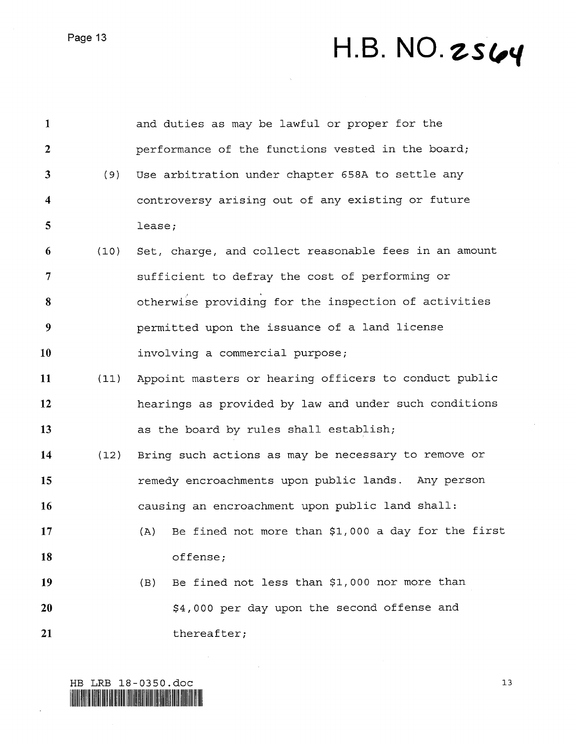# Page 13  $H.B.~NO.$  2564

| $\mathbf{1}$     |      | and duties as may be lawful or proper for the             |
|------------------|------|-----------------------------------------------------------|
| $\overline{2}$   |      | performance of the functions vested in the board;         |
| 3                | (9)  | Use arbitration under chapter 658A to settle any          |
| $\boldsymbol{4}$ |      | controversy arising out of any existing or future         |
| 5                |      | lease;                                                    |
| 6                | (10) | Set, charge, and collect reasonable fees in an amount     |
| $\overline{7}$   |      | sufficient to defray the cost of performing or            |
| 8                |      | otherwise providing for the inspection of activities      |
| 9                |      | permitted upon the issuance of a land license             |
| 10               |      | involving a commercial purpose;                           |
| 11               | (11) | Appoint masters or hearing officers to conduct public     |
| 12               |      | hearings as provided by law and under such conditions     |
| 13               |      | as the board by rules shall establish;                    |
| 14               | (12) | Bring such actions as may be necessary to remove or       |
| 15               |      | remedy encroachments upon public lands. Any person        |
| 16               |      | causing an encroachment upon public land shall:           |
| 17               |      | Be fined not more than \$1,000 a day for the first<br>(A) |
| 18               |      | offense;                                                  |
| 19               |      | Be fined not less than \$1,000 nor more than<br>(B)       |
| 20               |      | \$4,000 per day upon the second offense and               |
| 21               |      | thereafter;                                               |

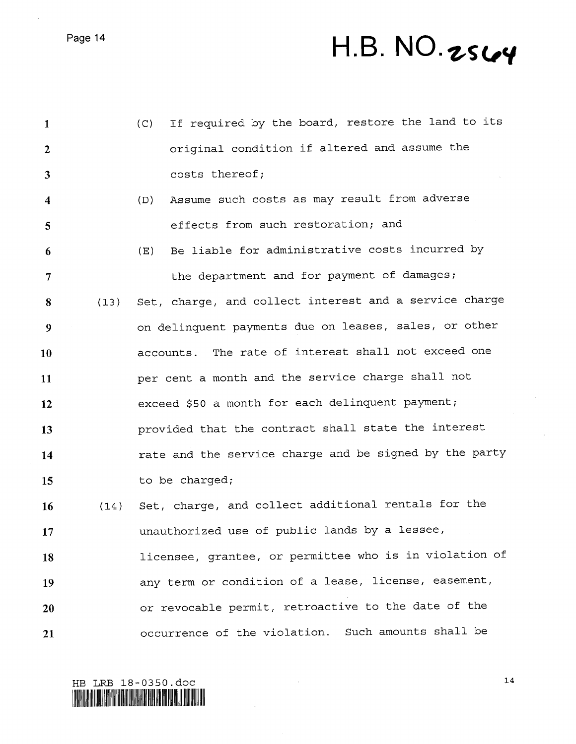Page 14

| $\mathbf{1}$   |      | If required by the board, restore the land to its<br>(C) |
|----------------|------|----------------------------------------------------------|
| $\overline{2}$ |      | original condition if altered and assume the             |
| $\mathbf{3}$   |      | costs thereof;                                           |
| 4              |      | Assume such costs as may result from adverse<br>(D)      |
| 5              |      | effects from such restoration; and                       |
| 6              |      | Be liable for administrative costs incurred by<br>(E)    |
| 7              |      | the department and for payment of damages;               |
| 8              | (13) | Set, charge, and collect interest and a service charge   |
| 9              |      | on delinquent payments due on leases, sales, or other    |
| 10             |      | accounts. The rate of interest shall not exceed one      |
| 11             |      | per cent a month and the service charge shall not        |
| 12             |      | exceed \$50 a month for each delinquent payment;         |
| 13             |      | provided that the contract shall state the interest      |
| 14             |      | rate and the service charge and be signed by the party   |
| 15             |      | to be charged;                                           |
| 16             |      | (14) Set, charge, and collect additional rentals for the |
| 17             |      | unauthorized use of public lands by a lessee,            |
| 18             |      | licensee, grantee, or permittee who is in violation of   |
| 19             |      | any term or condition of a lease, license, easement,     |
| <b>20</b>      |      | or revocable permit, retroactive to the date of the      |
| 21             |      | occurrence of the violation. Such amounts shall be       |

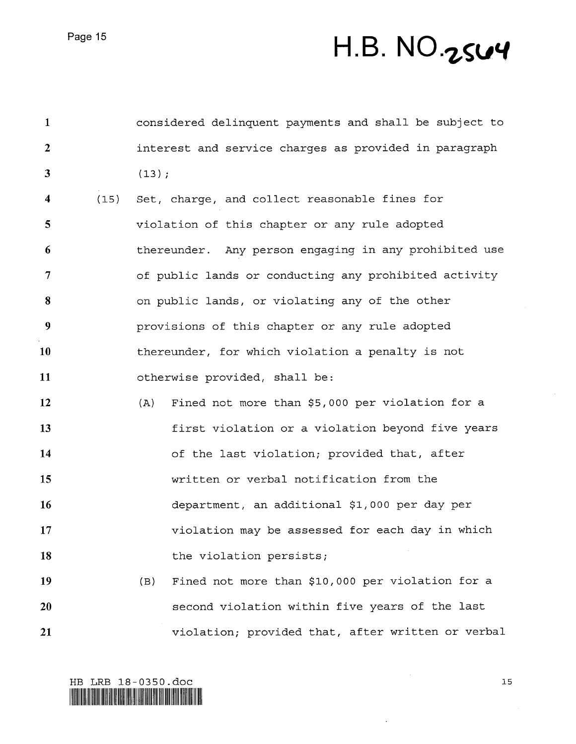## Page 15  $H.B. NO.$ <sub>254</sub>4

| $\mathbf{1}$     |      | considered delinquent payments and shall be subject to  |
|------------------|------|---------------------------------------------------------|
| $\boldsymbol{2}$ |      | interest and service charges as provided in paragraph   |
| 3                |      | (13);                                                   |
| 4                | (15) | Set, charge, and collect reasonable fines for           |
| 5                |      | violation of this chapter or any rule adopted           |
| 6                |      | thereunder. Any person engaging in any prohibited use   |
| $\tau$           |      | of public lands or conducting any prohibited activity   |
| 8                |      | on public lands, or violating any of the other          |
| 9                |      | provisions of this chapter or any rule adopted          |
| 10               |      | thereunder, for which violation a penalty is not        |
| 11               |      | otherwise provided, shall be:                           |
| 12               |      | Fined not more than \$5,000 per violation for a<br>(A)  |
| 13               |      | first violation or a violation beyond five years        |
| 14               |      | of the last violation; provided that, after             |
| 15               |      | written or verbal notification from the                 |
| 16               |      | department, an additional \$1,000 per day per           |
| 17               |      | violation may be assessed for each day in which         |
| 18               |      | the violation persists;                                 |
| 19               |      | Fined not more than \$10,000 per violation for a<br>(B) |
| 20               |      | second violation within five years of the last          |
| 21               |      | violation; provided that, after written or verbal       |



 $\epsilon$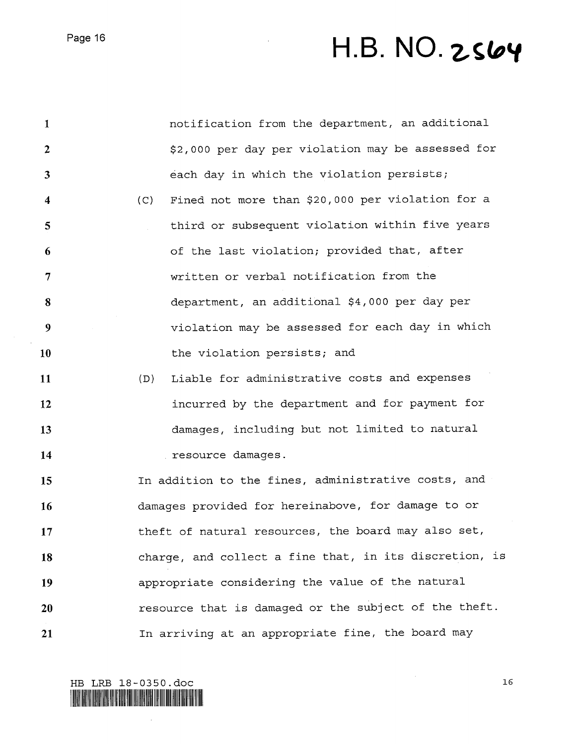## Page 16  $H.B. NO. 2564$

| $\mathbf{1}$     | notification from the department, an additional         |
|------------------|---------------------------------------------------------|
| $\boldsymbol{2}$ | \$2,000 per day per violation may be assessed for       |
| $\mathbf{3}$     | each day in which the violation persists;               |
| $\overline{4}$   | Fined not more than \$20,000 per violation for a<br>(C) |
| 5                | third or subsequent violation within five years         |
| 6                | of the last violation; provided that, after             |
| $\overline{7}$   | written or verbal notification from the                 |
| 8                | department, an additional \$4,000 per day per           |
| 9                | violation may be assessed for each day in which         |
| 10               | the violation persists; and                             |
| 11               | Liable for administrative costs and expenses<br>(D)     |
| 12               | incurred by the department and for payment for          |
| 13               | damages, including but not limited to natural           |
| 14               | resource damages.                                       |
| 15               | In addition to the fines, administrative costs, and     |
| 16               | damages provided for hereinabove, for damage to or      |
| 17               | theft of natural resources, the board may also set,     |
| 18               | charge, and collect a fine that, in its discretion, is  |
| 19               | appropriate considering the value of the natural        |
| 20               | resource that is damaged or the subject of the theft.   |
| 21               | In arriving at an appropriate fine, the board may       |

RB LRB 18—0350.doc 16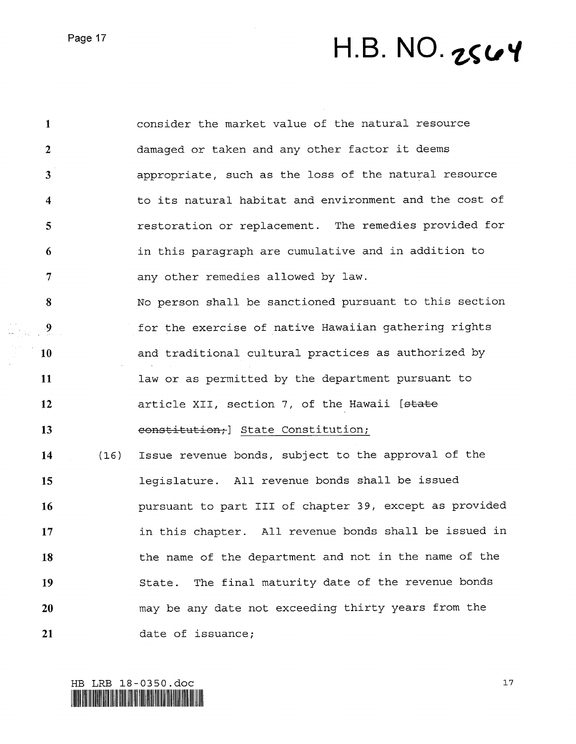ia<br>Antiko  $\delta$  ,  $\delta$  ,  $\delta$  ,  $\delta$ 

 $\Delta$ 

# Page 17 H.B. NO. 2564

| $\mathbf{1}$     |      | consider the market value of the natural resource      |
|------------------|------|--------------------------------------------------------|
| $\overline{2}$   |      | damaged or taken and any other factor it deems         |
| $\mathbf{3}$     |      | appropriate, such as the loss of the natural resource  |
| $\boldsymbol{4}$ |      | to its natural habitat and environment and the cost of |
| 5                |      | restoration or replacement. The remedies provided for  |
| 6                |      | in this paragraph are cumulative and in addition to    |
| $\overline{7}$   |      | any other remedies allowed by law.                     |
| 8                |      | No person shall be sanctioned pursuant to this section |
| $\frac{9}{2}$    |      | for the exercise of native Hawaiian gathering rights   |
| 10               |      | and traditional cultural practices as authorized by    |
| 11               |      | law or as permitted by the department pursuant to      |
| 12               |      | article XII, section 7, of the Hawaii [state           |
| 13               |      | eonstitution; State Constitution;                      |
| 14               | (16) | Issue revenue bonds, subject to the approval of the    |
| 15               |      | legislature. All revenue bonds shall be issued         |
| 16               |      | pursuant to part III of chapter 39, except as provided |
| 17               |      | in this chapter. All revenue bonds shall be issued in  |
| 18               |      | the name of the department and not in the name of the  |
| 19               |      | The final maturity date of the revenue bonds<br>State. |
| 20               |      | may be any date not exceeding thirty years from the    |
| 21               |      | date of issuance;                                      |

HB LRB 18-0350.doc <sup>17</sup>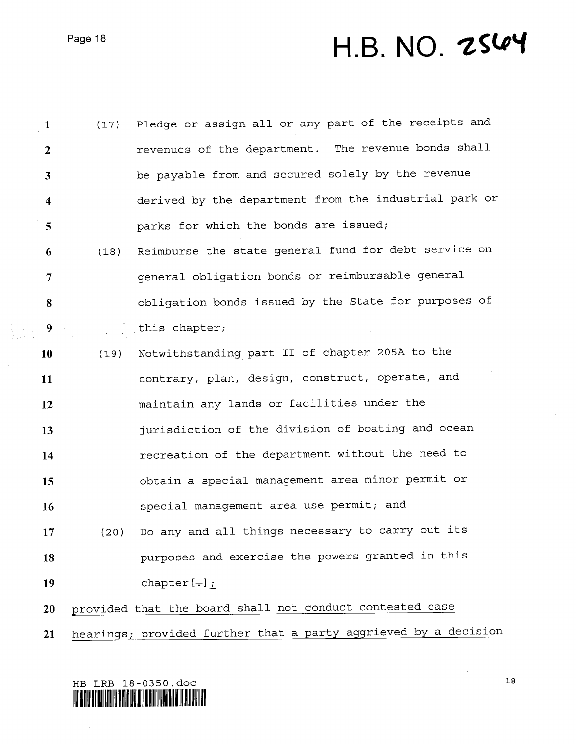### $H.B. NO. 2544$

 (17) Pledge or assign all or any part of the receipts and **2** revenues of the department. The revenue bonds shall be payable from and secured solely by the revenue derived by the department from the industrial park or parks for which the bonds are issued; (18) Reimburse the state general fund for debt service on general obligation bonds or reimbursable general obligation bonds issued by the State for purposes of .9 this chapter; (19) Notwithstanding part II of chapter 205A to the contrary, plan, design, construct, operate, and maintain any lands or facilities under the jurisdiction of the division of boating and ocean recreation of the department without the need to obtain <sup>a</sup> special management area minor permit or special management area use permit; and (20) Do any and all things necessary to carry out its purposes and exercise the powers granted in this 19 chapter $[-]$ ; provided that the board shall not conduct contested case hearings; provided further that <sup>a</sup> party aggrieved by <sup>a</sup> decision

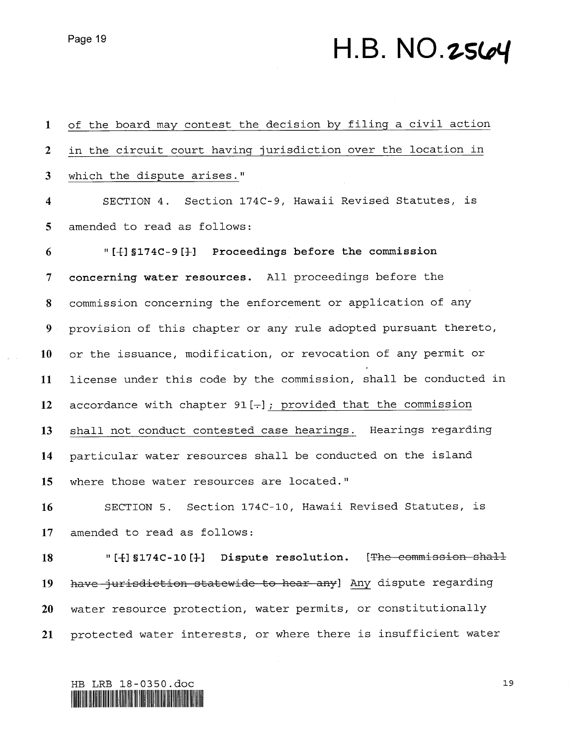$\Delta\sim 10$ 

## Page 19 H.B. NO. 2564

| 1                | of the board may contest the decision by filing a civil action   |
|------------------|------------------------------------------------------------------|
| $\mathbf{2}$     | in the circuit court having jurisdiction over the location in    |
| $\mathbf{3}$     | which the dispute arises."                                       |
| $\boldsymbol{4}$ | SECTION 4. Section 174C-9, Hawaii Revised Statutes, is           |
| 5                | amended to read as follows:                                      |
| 6                | "[4] \$174C-9[+] Proceedings before the commission               |
| $\tau$           | concerning water resources. All proceedings before the           |
| 8                | commission concerning the enforcement or application of any      |
| 9 <sub>1</sub>   | provision of this chapter or any rule adopted pursuant thereto,  |
| 10               | or the issuance, modification, or revocation of any permit or    |
| 11               | license under this code by the commission, shall be conducted in |
| 12               | accordance with chapter $91[-]$ ; provided that the commission   |
| 13               | shall not conduct contested case hearings. Hearings regarding    |
| 14               | particular water resources shall be conducted on the island      |
| 15               | where those water resources are located."                        |
| 16               | SECTION 5. Section 174C-10, Hawaii Revised Statutes, is          |
| 17               | amended to read as follows:                                      |
| 18               | "[4] \$174C-10[+] Dispute resolution. [The commission shall      |
| 19               | have jurisdiction statewide to hear any] Any dispute regarding   |
| <b>20</b>        | water resource protection, water permits, or constitutionally    |
| 21               | protected water interests, or where there is insufficient water  |
|                  |                                                                  |

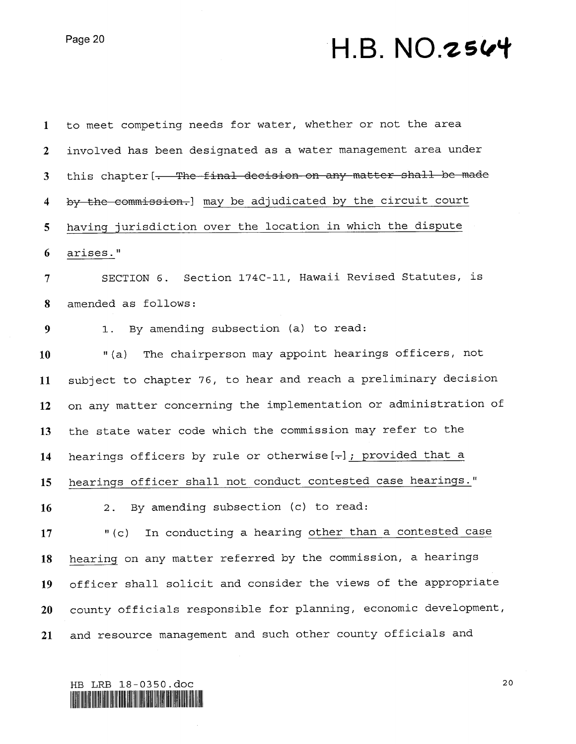### $H.B. NO.$ 25 $V<sup>4</sup>$

 to meet competing needs for water, whether or not the area involved has been designated as <sup>a</sup> water management area under 3 this chapter [- The final decision on any matter shall be made 4 by the commission.] may be adjudicated by the circuit court having jurisdiction over the location in which the dispute arises." SECTION 6. Section 174C-ll, Hawaii Revised Statutes, is amended as follows: 1. By amending subsection (a) to read: "(a) The chairperson may appoint hearings officers, not subject to chapter 76, to hear and reach <sup>a</sup> preliminary decision on any matter concerning the implementation or administration of the state water code which the commission may refer to the 14 hearings officers by rule or otherwise [-]; provided that a hearings officer shall not conduct contested case hearings." 2. By amending subsection (c) to read: "(c) In conducting a hearing other than a contested case hearing on any matter referred by the commission, <sup>a</sup> hearings officer shall solicit and consider the views of the appropriate county officials responsible for planning, economic development, and resource management and such other county officials and

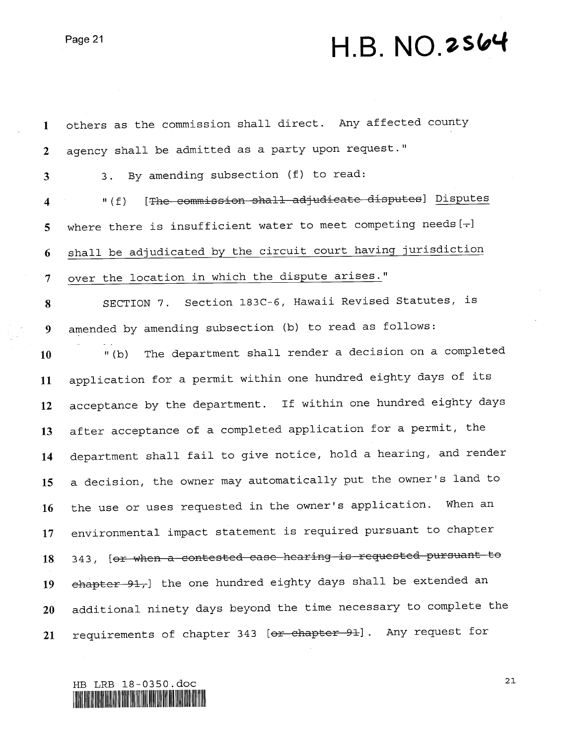others as the commission shall direct. Any affected county agency shall be admitted as <sup>a</sup> party upon request." 3. By amending subsection (f) to read: 4 "(f) [The commission shall adjudicate disputes] Disputes 5 where there is insufficient water to meet competing needs  $[-]$  shall be adjudicated by the circuit court having jurisdiction over the location in which the dispute arises." SECTION 7. Section 183C-6, Hawaii Revised Statutes, is amended by amending subsection (b) to read as follows: "(b) The department shall render <sup>a</sup> decision on <sup>a</sup> completed application for <sup>a</sup> permit within one hundred eighty days of its acceptance by the department. If within one hundred eighty days after acceptance of <sup>a</sup> completed application for <sup>a</sup> permit, the department shall fail to give notice, hold <sup>a</sup> hearing, and render a decision, the owner may automatically put the owner's land to the use or uses requested in the owner's application. When an environmental impact statement is required pursuant to chapter 18 343, [or when a contested case hearing is requested pursuant to 19 ehapter 91, the one hundred eighty days shall be extended an additional ninety days beyond the time necessary to complete the 21 requirements of chapter 343 [or chapter 91]. Any request for



Page 21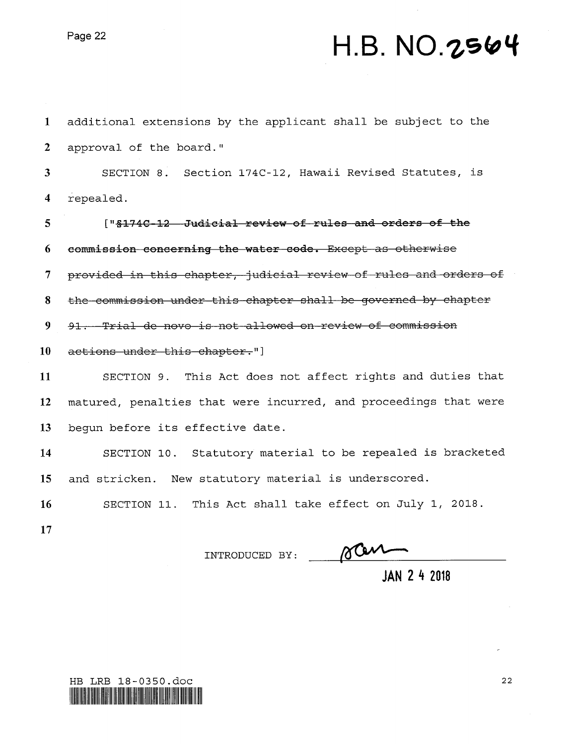Page 22

 additional extensions by the applicant shall be subject to the approval of the board." SECTION 8. Section 174C-12, Hawaii Revised Statutes, is repealed. 5 ["§174C-12 Judicial review of rules and orders of the 6 commission concerning the water code. Except as otherwise provided in thio chapter, judicial review of rulee and orders of 8 the commission under this chapter shall be governed by chapter 9 91. Trial de novo is not allowed on review of commission 10 actions under this chapter."] SECTION 9. This Act does not affect rights and duties that matured, penalties that were incurred, and proceedings that were begun before its effective date. SECTION 10. Statutory material to be repealed is bracketed and stricken. New statutory material is underscored. SECTION 11. This Act shall take effect on July 1, 2018. 17

INTRODUCED BY:

JAN 2 4 2018